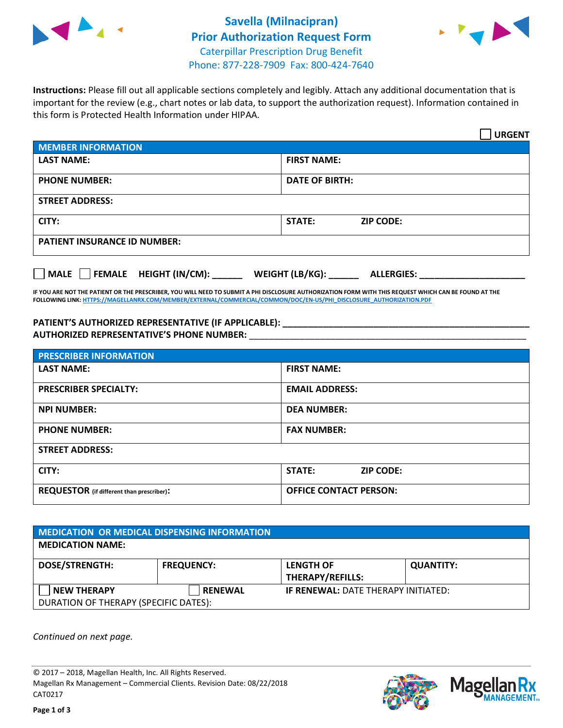



**Instructions:** Please fill out all applicable sections completely and legibly. Attach any additional documentation that is important for the review (e.g., chart notes or lab data, to support the authorization request). Information contained in this form is Protected Health Information under HIPAA.

|                                     |                                      | <b>URGENT</b> |  |  |
|-------------------------------------|--------------------------------------|---------------|--|--|
| <b>MEMBER INFORMATION</b>           |                                      |               |  |  |
| <b>LAST NAME:</b>                   | <b>FIRST NAME:</b>                   |               |  |  |
| <b>PHONE NUMBER:</b>                | <b>DATE OF BIRTH:</b>                |               |  |  |
| <b>STREET ADDRESS:</b>              |                                      |               |  |  |
| CITY:                               | <b>STATE:</b><br><b>ZIP CODE:</b>    |               |  |  |
| <b>PATIENT INSURANCE ID NUMBER:</b> |                                      |               |  |  |
| FEMALE HEIGHT (IN/CM):<br>MALE      | WEIGHT (LB/KG):<br><b>ALLERGIES:</b> |               |  |  |

**IF YOU ARE NOT THE PATIENT OR THE PRESCRIBER, YOU WILL NEED TO SUBMIT A PHI DISCLOSURE AUTHORIZATION FORM WITH THIS REQUEST WHICH CAN BE FOUND AT THE FOLLOWING LINK[: HTTPS://MAGELLANRX.COM/MEMBER/EXTERNAL/COMMERCIAL/COMMON/DOC/EN-US/PHI\\_DISCLOSURE\\_AUTHORIZATION.PDF](https://magellanrx.com/member/external/commercial/common/doc/en-us/PHI_Disclosure_Authorization.pdf)**

**PATIENT'S AUTHORIZED REPRESENTATIVE (IF APPLICABLE): \_\_\_\_\_\_\_\_\_\_\_\_\_\_\_\_\_\_\_\_\_\_\_\_\_\_\_\_\_\_\_\_\_\_\_\_\_\_\_\_\_\_\_\_\_\_\_\_\_ AUTHORIZED REPRESENTATIVE'S PHONE NUMBER:** \_\_\_\_\_\_\_\_\_\_\_\_\_\_\_\_\_\_\_\_\_\_\_\_\_\_\_\_\_\_\_\_\_\_\_\_\_\_\_\_\_\_\_\_\_\_\_\_\_\_\_\_\_\_\_

| <b>PRESCRIBER INFORMATION</b>             |                               |  |  |  |
|-------------------------------------------|-------------------------------|--|--|--|
| <b>LAST NAME:</b>                         | <b>FIRST NAME:</b>            |  |  |  |
| <b>PRESCRIBER SPECIALTY:</b>              | <b>EMAIL ADDRESS:</b>         |  |  |  |
| <b>NPI NUMBER:</b>                        | <b>DEA NUMBER:</b>            |  |  |  |
| <b>PHONE NUMBER:</b>                      | <b>FAX NUMBER:</b>            |  |  |  |
| <b>STREET ADDRESS:</b>                    |                               |  |  |  |
| CITY:                                     | STATE:<br><b>ZIP CODE:</b>    |  |  |  |
| REQUESTOR (if different than prescriber): | <b>OFFICE CONTACT PERSON:</b> |  |  |  |

| <b>MEDICATION OR MEDICAL DISPENSING INFORMATION</b> |                   |                                            |                  |  |  |
|-----------------------------------------------------|-------------------|--------------------------------------------|------------------|--|--|
| <b>MEDICATION NAME:</b>                             |                   |                                            |                  |  |  |
| <b>DOSE/STRENGTH:</b>                               | <b>FREQUENCY:</b> | <b>LENGTH OF</b>                           | <b>QUANTITY:</b> |  |  |
|                                                     |                   | <b>THERAPY/REFILLS:</b>                    |                  |  |  |
| <b>NEW THERAPY</b>                                  | <b>RENEWAL</b>    | <b>IF RENEWAL: DATE THERAPY INITIATED:</b> |                  |  |  |
| DURATION OF THERAPY (SPECIFIC DATES):               |                   |                                            |                  |  |  |

*Continued on next page.*

© 2017 – 2018, Magellan Health, Inc. All Rights Reserved. Magellan Rx Management – Commercial Clients. Revision Date: 08/22/2018 CAT0217



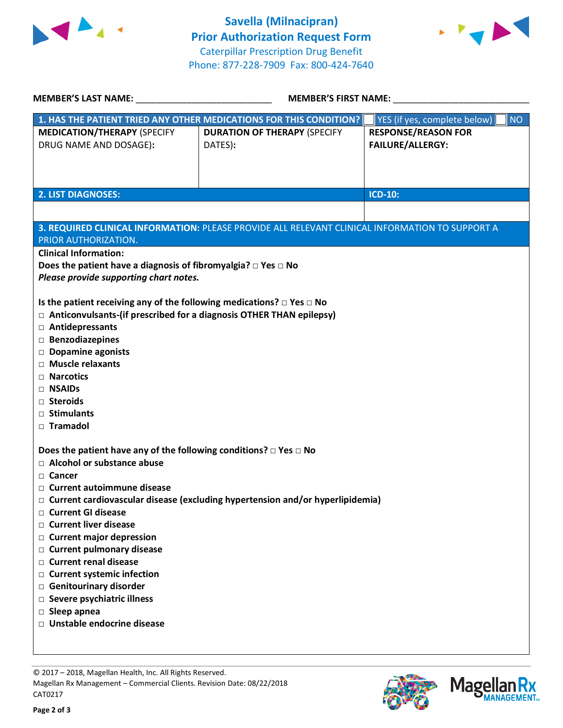



| <b>MEMBER'S LAST NAME:</b>                                                                                                                                                                                   | <b>MEMBER'S FIRST NAME:</b>                    |                                                       |  |  |  |
|--------------------------------------------------------------------------------------------------------------------------------------------------------------------------------------------------------------|------------------------------------------------|-------------------------------------------------------|--|--|--|
| 1. HAS THE PATIENT TRIED ANY OTHER MEDICATIONS FOR THIS CONDITION?                                                                                                                                           |                                                | YES (if yes, complete below)  <br><b>NO</b>           |  |  |  |
| <b>MEDICATION/THERAPY (SPECIFY</b><br>DRUG NAME AND DOSAGE):                                                                                                                                                 | <b>DURATION OF THERAPY (SPECIFY</b><br>DATES): | <b>RESPONSE/REASON FOR</b><br><b>FAILURE/ALLERGY:</b> |  |  |  |
| <b>2. LIST DIAGNOSES:</b>                                                                                                                                                                                    |                                                | <b>ICD-10:</b>                                        |  |  |  |
|                                                                                                                                                                                                              |                                                |                                                       |  |  |  |
| 3. REQUIRED CLINICAL INFORMATION: PLEASE PROVIDE ALL RELEVANT CLINICAL INFORMATION TO SUPPORT A<br>PRIOR AUTHORIZATION.<br><b>Clinical Information:</b>                                                      |                                                |                                                       |  |  |  |
| Does the patient have a diagnosis of fibromyalgia? $\Box$ Yes $\Box$ No<br>Please provide supporting chart notes.                                                                                            |                                                |                                                       |  |  |  |
| Is the patient receiving any of the following medications? $\Box$ Yes $\Box$ No<br>$\Box$ Anticonvulsants-(if prescribed for a diagnosis OTHER THAN epilepsy)<br>□ Antidepressants<br>$\Box$ Benzodiazepines |                                                |                                                       |  |  |  |
| Dopamine agonists<br>$\Box$ Muscle relaxants                                                                                                                                                                 |                                                |                                                       |  |  |  |
| $\Box$ Narcotics                                                                                                                                                                                             |                                                |                                                       |  |  |  |
| □ NSAIDs<br>□ Steroids                                                                                                                                                                                       |                                                |                                                       |  |  |  |
| □ Stimulants<br>□ Tramadol                                                                                                                                                                                   |                                                |                                                       |  |  |  |
| Does the patient have any of the following conditions? $\Box$ Yes $\Box$ No<br>$\Box$ Alcohol or substance abuse                                                                                             |                                                |                                                       |  |  |  |
| □ Cancer<br>□ Current autoimmune disease                                                                                                                                                                     |                                                |                                                       |  |  |  |
| $\Box$ Current cardiovascular disease (excluding hypertension and/or hyperlipidemia)<br>□ Current GI disease                                                                                                 |                                                |                                                       |  |  |  |
| □ Current liver disease                                                                                                                                                                                      |                                                |                                                       |  |  |  |
| $\Box$ Current major depression<br>□ Current pulmonary disease                                                                                                                                               |                                                |                                                       |  |  |  |
| □ Current renal disease                                                                                                                                                                                      |                                                |                                                       |  |  |  |
| □ Current systemic infection<br>Genitourinary disorder                                                                                                                                                       |                                                |                                                       |  |  |  |
| □ Severe psychiatric illness<br>$\Box$ Sleep apnea                                                                                                                                                           |                                                |                                                       |  |  |  |
| □ Unstable endocrine disease                                                                                                                                                                                 |                                                |                                                       |  |  |  |
|                                                                                                                                                                                                              |                                                |                                                       |  |  |  |

© 2017 – 2018, Magellan Health, Inc. All Rights Reserved.

Magellan Rx Management – Commercial Clients. Revision Date: 08/22/2018 CAT0217